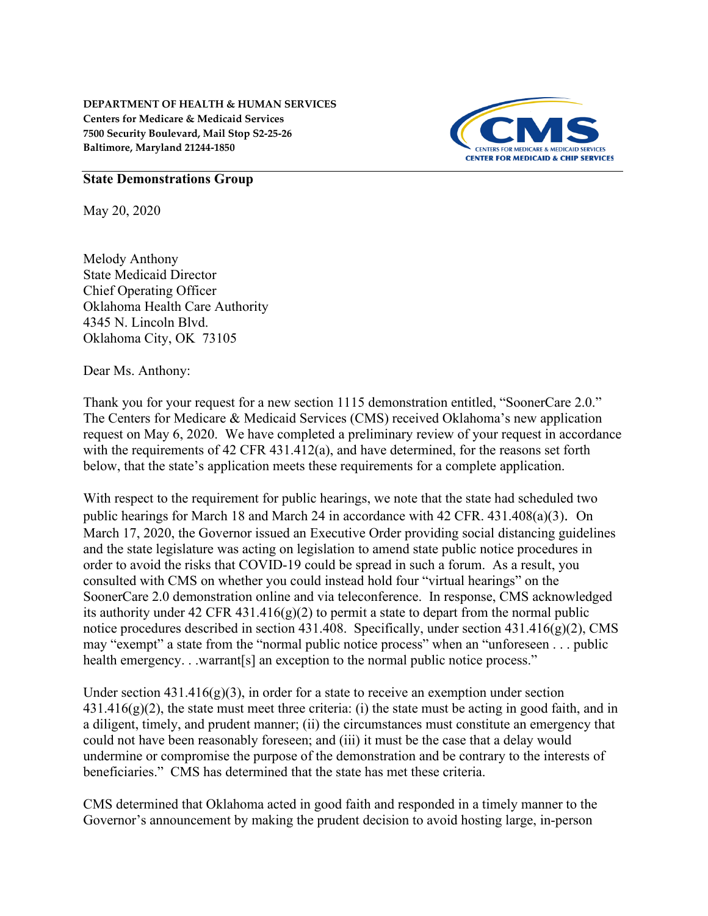

## **State Demonstrations Group**

May 20, 2020

Melody Anthony State Medicaid Director Chief Operating Officer Oklahoma Health Care Authority 4345 N. Lincoln Blvd. Oklahoma City, OK 73105

Dear Ms. Anthony:

Thank you for your request for a new section 1115 demonstration entitled, "SoonerCare 2.0." The Centers for Medicare & Medicaid Services (CMS) received Oklahoma's new application request on May 6, 2020. We have completed a preliminary review of your request in accordance with the requirements of 42 CFR 431.412(a), and have determined, for the reasons set forth below, that the state's application meets these requirements for a complete application.

With respect to the requirement for public hearings, we note that the state had scheduled two public hearings for March 18 and March 24 in accordance with 42 CFR. 431.408(a)(3). On March 17, 2020, the Governor issued an Executive Order providing social distancing guidelines and the state legislature was acting on legislation to amend state public notice procedures in order to avoid the risks that COVID-19 could be spread in such a forum. As a result, you consulted with CMS on whether you could instead hold four "virtual hearings" on the SoonerCare 2.0 demonstration online and via teleconference. In response, CMS acknowledged its authority under 42 CFR 431.416(g)(2) to permit a state to depart from the normal public notice procedures described in section 431.408. Specifically, under section 431.416(g)(2), CMS may "exempt" a state from the "normal public notice process" when an "unforeseen . . . public health emergency. . .warrant[s] an exception to the normal public notice process."

Under section  $431.416(g)(3)$ , in order for a state to receive an exemption under section  $431.416(g)(2)$ , the state must meet three criteria: (i) the state must be acting in good faith, and in a diligent, timely, and prudent manner; (ii) the circumstances must constitute an emergency that could not have been reasonably foreseen; and (iii) it must be the case that a delay would undermine or compromise the purpose of the demonstration and be contrary to the interests of beneficiaries." CMS has determined that the state has met these criteria.

CMS determined that Oklahoma acted in good faith and responded in a timely manner to the Governor's announcement by making the prudent decision to avoid hosting large, in-person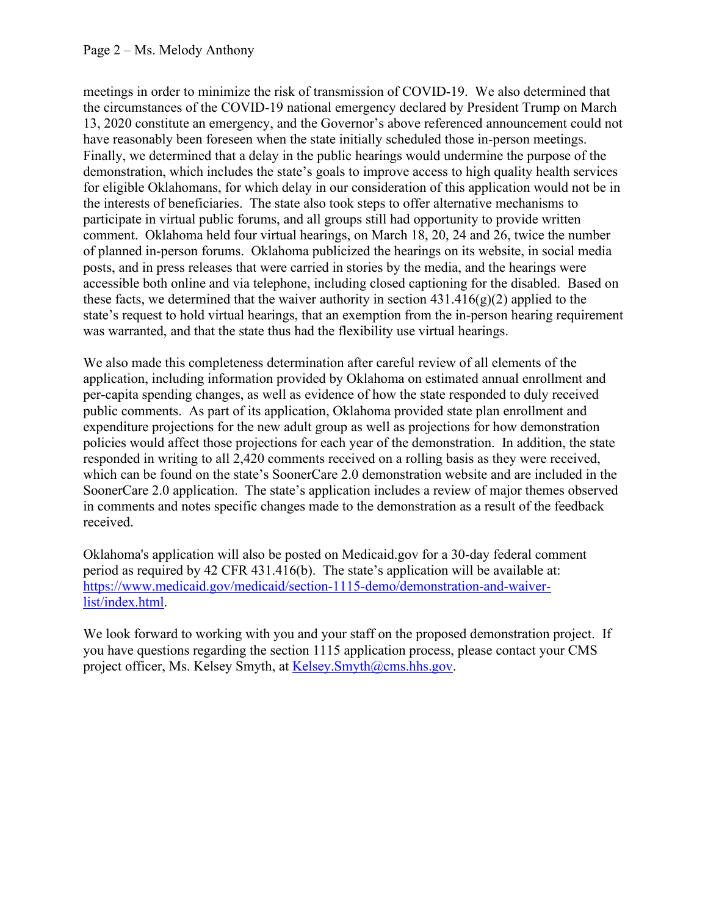meetings in order to minimize the risk of transmission of COVID-19. We also determined that the circumstances of the COVID-19 national emergency declared by President Trump on March 13, 2020 constitute an emergency, and the Governor's above referenced announcement could not have reasonably been foreseen when the state initially scheduled those in-person meetings. Finally, we determined that a delay in the public hearings would undermine the purpose of the demonstration, which includes the state's goals to improve access to high quality health services for eligible Oklahomans, for which delay in our consideration of this application would not be in the interests of beneficiaries. The state also took steps to offer alternative mechanisms to participate in virtual public forums, and all groups still had opportunity to provide written comment. Oklahoma held four virtual hearings, on March 18, 20, 24 and 26, twice the number of planned in-person forums. Oklahoma publicized the hearings on its website, in social media posts, and in press releases that were carried in stories by the media, and the hearings were accessible both online and via telephone, including closed captioning for the disabled. Based on these facts, we determined that the waiver authority in section  $431.416(g)(2)$  applied to the state's request to hold virtual hearings, that an exemption from the in-person hearing requirement was warranted, and that the state thus had the flexibility use virtual hearings.

We also made this completeness determination after careful review of all elements of the application, including information provided by Oklahoma on estimated annual enrollment and per-capita spending changes, as well as evidence of how the state responded to duly received public comments. As part of its application, Oklahoma provided state plan enrollment and expenditure projections for the new adult group as well as projections for how demonstration policies would affect those projections for each year of the demonstration. In addition, the state responded in writing to all 2,420 comments received on a rolling basis as they were received, which can be found on the state's SoonerCare 2.0 demonstration website and are included in the SoonerCare 2.0 application. The state's application includes a review of major themes observed in comments and notes specific changes made to the demonstration as a result of the feedback received.

Oklahoma's application will also be posted on Medicaid.gov for a 30-day federal comment period as required by 42 CFR 431.416(b). The state's application will be available at: [https://www.medicaid.gov/medicaid/section-1115-demo/demonstration-and-waiver](https://www.medicaid.gov/medicaid/section-1115-demo/demonstration-and-waiver-list/index.html)[list/index.html.](https://www.medicaid.gov/medicaid/section-1115-demo/demonstration-and-waiver-list/index.html)

We look forward to working with you and your staff on the proposed demonstration project. If you have questions regarding the section 1115 application process, please contact your CMS project officer, Ms. Kelsey Smyth, at [Kelsey.Smyth@cms.hhs.gov.](mailto:Kelsey.Smyth@cms.hhs.gov)